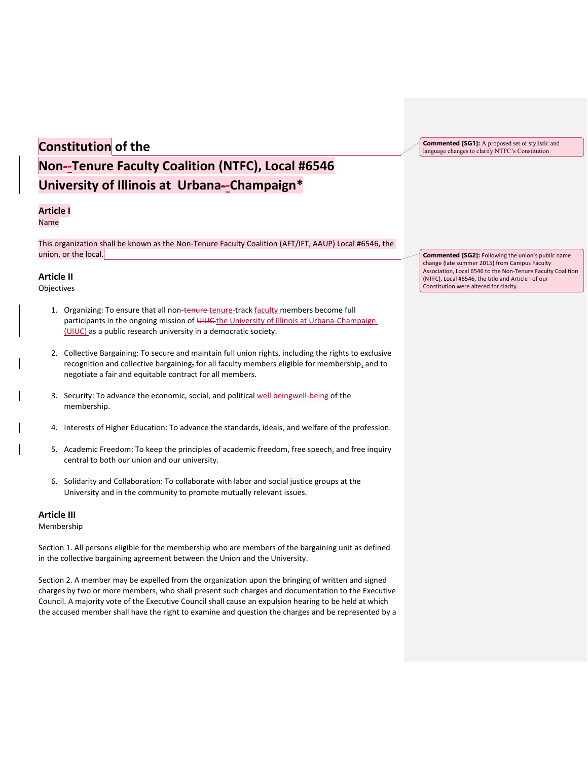# **Constitution of the**

**Commented [SG1]:** A proposed set of stylistic and language changes to clarify NTFC's Constitution

# **Non--Tenure Faculty Coalition (NTFC), Local #6546 University of Illinois at Urbana--Champaign\***

# **Article I**

Name

This organization shall be known as the Non-Tenure Faculty Coalition (AFT/IFT, AAUP) Local #6546, the union, or the local.

# **Article II**

Objectives

- 1. Organizing: To ensure that all non-tenure-tenure-track faculty members become full participants in the ongoing mission of UIUC the University of Illinois at Urbana-Champaign (UIUC) as a public research university in a democratic society.
- 2. Collective Bargaining: To secure and maintain full union rights, including the rights to exclusive recognition and collective bargaining, for all faculty members eligible for membership, and to negotiate a fair and equitable contract for all members.
- 3. Security: To advance the economic, social, and political well beingwell-being of the membership.
- 4. Interests of Higher Education: To advance the standards, ideals, and welfare of the profession.
- 5. Academic Freedom: To keep the principles of academic freedom, free speech, and free inquiry central to both our union and our university.
- 6. Solidarity and Collaboration: To collaborate with labor and social justice groups at the University and in the community to promote mutually relevant issues.

# **Article III**

Membership

Section 1. All persons eligible for the membership who are members of the bargaining unit as defined in the collective bargaining agreement between the Union and the University.

Section 2. A member may be expelled from the organization upon the bringing of written and signed charges by two or more members, who shall present such charges and documentation to the Executive Council. A majority vote of the Executive Council shall cause an expulsion hearing to be held at which the accused member shall have the right to examine and question the charges and be represented by a **Commented [SG2]:** Following the union's public name change (late summer 2015) from Campus Faculty Association, Local 6546 to the Non-Tenure Faculty Coalition (NTFC), Local #6546, the title and Article I of our Constitution were altered for clarity.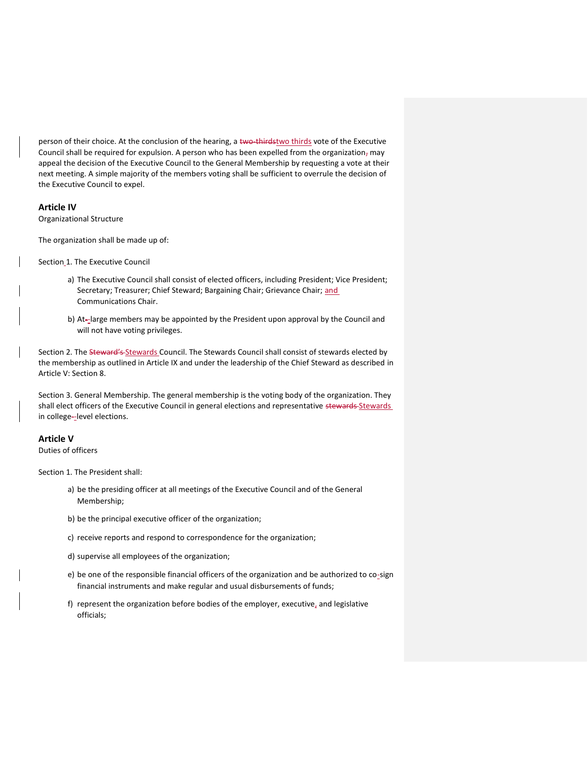person of their choice. At the conclusion of the hearing, a two-thirdstwo thirds vote of the Executive Council shall be required for expulsion. A person who has been expelled from the organization, may appeal the decision of the Executive Council to the General Membership by requesting a vote at their next meeting. A simple majority of the members voting shall be sufficient to overrule the decision of the Executive Council to expel.

# **Article IV**

Organizational Structure

The organization shall be made up of:

Section\_1. The Executive Council

- a) The Executive Council shall consist of elected officers, including President; Vice President; Secretary; Treasurer; Chief Steward; Bargaining Chair; Grievance Chair; and Communications Chair.
- b) At--large members may be appointed by the President upon approval by the Council and will not have voting privileges.

Section 2. The Steward's Stewards Council. The Stewards Council shall consist of stewards elected by the membership as outlined in Article IX and under the leadership of the Chief Steward as described in Article V: Section 8.

Section 3. General Membership. The general membership is the voting body of the organization. They shall elect officers of the Executive Council in general elections and representative stewards Stewards in college--level elections.

# **Article V**

Duties of officers

Section 1. The President shall:

- a) be the presiding officer at all meetings of the Executive Council and of the General Membership;
- b) be the principal executive officer of the organization;
- c) receive reports and respond to correspondence for the organization;
- d) supervise all employees of the organization;
- e) be one of the responsible financial officers of the organization and be authorized to co-sign financial instruments and make regular and usual disbursements of funds;
- f) represent the organization before bodies of the employer, executive, and legislative officials;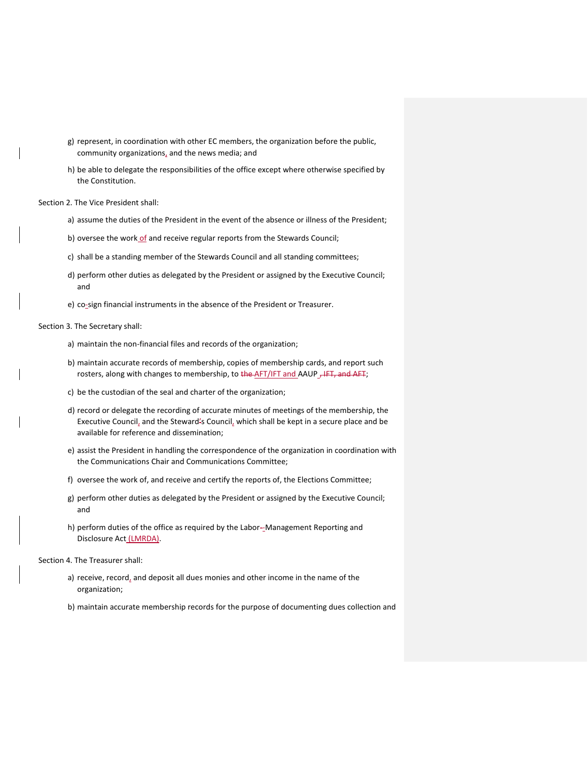- g) represent, in coordination with other EC members, the organization before the public, community organizations, and the news media; and
- h) be able to delegate the responsibilities of the office except where otherwise specified by the Constitution.

Section 2. The Vice President shall:

- a) assume the duties of the President in the event of the absence or illness of the President;
- b) oversee the work of and receive regular reports from the Stewards Council;
- c) shall be a standing member of the Stewards Council and all standing committees;
- d) perform other duties as delegated by the President or assigned by the Executive Council; and
- e) co-sign financial instruments in the absence of the President or Treasurer.

Section 3. The Secretary shall:

- a) maintain the non-financial files and records of the organization;
- b) maintain accurate records of membership, copies of membership cards, and report such rosters, along with changes to membership, to the AFT/IFT and AAUP , IFT, and AFT;
- c) be the custodian of the seal and charter of the organization;
- d) record or delegate the recording of accurate minutes of meetings of the membership, the Executive Council, and the Steward's Council, which shall be kept in a secure place and be available for reference and dissemination;
- e) assist the President in handling the correspondence of the organization in coordination with the Communications Chair and Communications Committee;
- f) oversee the work of, and receive and certify the reports of, the Elections Committee;
- g) perform other duties as delegated by the President or assigned by the Executive Council; and
- h) perform duties of the office as required by the Labor--Management Reporting and Disclosure Act (LMRDA).

Section 4. The Treasurer shall:

- a) receive, record, and deposit all dues monies and other income in the name of the organization;
- b) maintain accurate membership records for the purpose of documenting dues collection and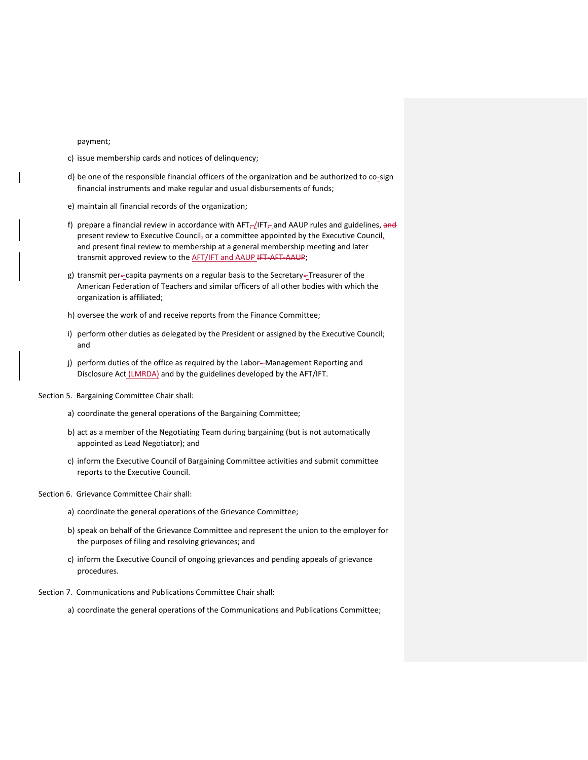#### payment;

- c) issue membership cards and notices of delinquency;
- d) be one of the responsible financial officers of the organization and be authorized to co-sign financial instruments and make regular and usual disbursements of funds;
- e) maintain all financial records of the organization;
- f) prepare a financial review in accordance with  $AFT<sub>-</sub>/IFT<sub>-</sub>$  and AAUP rules and guidelines, and present review to Executive Council, or a committee appointed by the Executive Council, and present final review to membership at a general membership meeting and later transmit approved review to the **AFT/IFT and AAUP IFT-AFT-AAUP**;
- g) transmit per--capita payments on a regular basis to the Secretary--Treasurer of the American Federation of Teachers and similar officers of all other bodies with which the organization is affiliated;
- h) oversee the work of and receive reports from the Finance Committee;
- i) perform other duties as delegated by the President or assigned by the Executive Council; and
- j) perform duties of the office as required by the Labor--Management Reporting and Disclosure Act *(LMRDA)* and by the guidelines developed by the AFT/IFT.
- Section 5. Bargaining Committee Chair shall:
	- a) coordinate the general operations of the Bargaining Committee;
	- b) act as a member of the Negotiating Team during bargaining (but is not automatically appointed as Lead Negotiator); and
	- c) inform the Executive Council of Bargaining Committee activities and submit committee reports to the Executive Council.
- Section 6. Grievance Committee Chair shall:
	- a) coordinate the general operations of the Grievance Committee;
	- b) speak on behalf of the Grievance Committee and represent the union to the employer for the purposes of filing and resolving grievances; and
	- c) inform the Executive Council of ongoing grievances and pending appeals of grievance procedures.
- Section 7. Communications and Publications Committee Chair shall:
	- a) coordinate the general operations of the Communications and Publications Committee;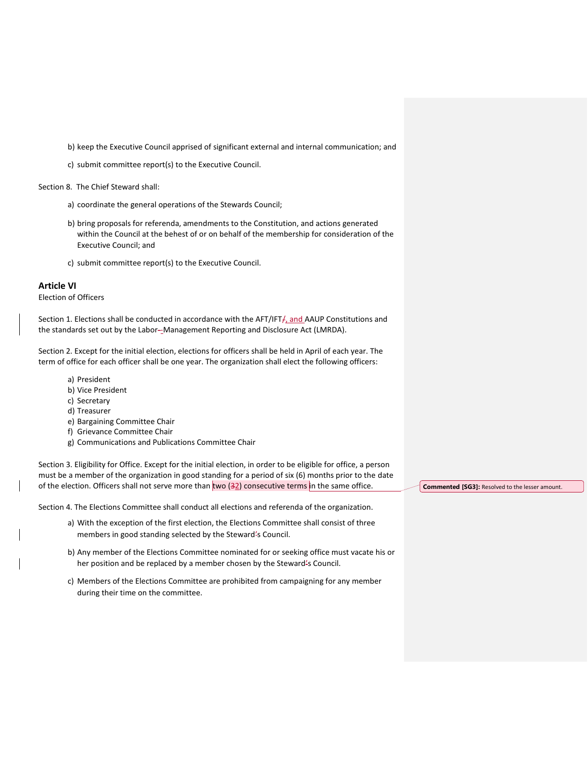b) keep the Executive Council apprised of significant external and internal communication; and

c) submit committee report(s) to the Executive Council.

Section 8. The Chief Steward shall:

- a) coordinate the general operations of the Stewards Council;
- b) bring proposals for referenda, amendments to the Constitution, and actions generated within the Council at the behest of or on behalf of the membership for consideration of the Executive Council; and
- c) submit committee report(s) to the Executive Council.

# **Article VI**

Election of Officers

Section 1. Elections shall be conducted in accordance with the AFT/IFT<sub>t</sub>, and AAUP Constitutions and the standards set out by the Labor--Management Reporting and Disclosure Act (LMRDA).

Section 2. Except for the initial election, elections for officers shall be held in April of each year. The term of office for each officer shall be one year. The organization shall elect the following officers:

- a) President
- b) Vice President
- c) Secretary
- d) Treasurer
- e) Bargaining Committee Chair
- f) Grievance Committee Chair
- g) Communications and Publications Committee Chair

Section 3. Eligibility for Office. Except for the initial election, in order to be eligible for office, a person must be a member of the organization in good standing for a period of six (6) months prior to the date of the election. Officers shall not serve more than two  $(32)$  consecutive terms in the same office.

Section 4. The Elections Committee shall conduct all elections and referenda of the organization.

- a) With the exception of the first election, the Elections Committee shall consist of three members in good standing selected by the Steward's Council.
- b) Any member of the Elections Committee nominated for or seeking office must vacate his or her position and be replaced by a member chosen by the Steward's Council.
- c) Members of the Elections Committee are prohibited from campaigning for any member during their time on the committee.

**Commented [SG3]:** Resolved to the lesser amount.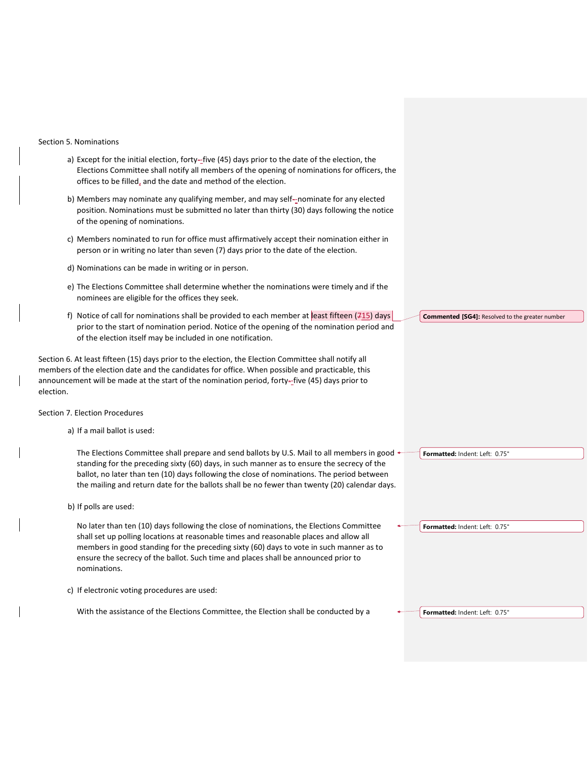#### Section 5. Nominations

- a) Except for the initial election, forty--five (45) days prior to the date of the election, the Elections Committee shall notify all members of the opening of nominations for officers, the offices to be filled, and the date and method of the election.
- b) Members may nominate any qualifying member, and may self--nominate for any elected position. Nominations must be submitted no later than thirty (30) days following the notice of the opening of nominations.
- c) Members nominated to run for office must affirmatively accept their nomination either in person or in writing no later than seven (7) days prior to the date of the election.
- d) Nominations can be made in writing or in person.
- e) The Elections Committee shall determine whether the nominations were timely and if the nominees are eligible for the offices they seek.
- f) Notice of call for nominations shall be provided to each member at east fifteen (715) days prior to the start of nomination period. Notice of the opening of the nomination period and of the election itself may be included in one notification.

Section 6. At least fifteen (15) days prior to the election, the Election Committee shall notify all members of the election date and the candidates for office. When possible and practicable, this announcement will be made at the start of the nomination period, forty--five (45) days prior to election.

#### Section 7. Election Procedures

a) If a mail ballot is used:

The Elections Committee shall prepare and send ballots by U.S. Mail to all members in good  $\leftarrow$ standing for the preceding sixty (60) days, in such manner as to ensure the secrecy of the ballot, no later than ten (10) days following the close of nominations. The period between the mailing and return date for the ballots shall be no fewer than twenty (20) calendar days.

b) If polls are used:

No later than ten (10) days following the close of nominations, the Elections Committee shall set up polling locations at reasonable times and reasonable places and allow all members in good standing for the preceding sixty (60) days to vote in such manner as to ensure the secrecy of the ballot. Such time and places shall be announced prior to nominations.

c) If electronic voting procedures are used:

With the assistance of the Elections Committee, the Election shall be conducted by a

**Commented [SG4]:** Resolved to the greater number

**Formatted:** Indent: Left: 0.75"

**Formatted:** Indent: Left: 0.75"

**Formatted:** Indent: Left: 0.75"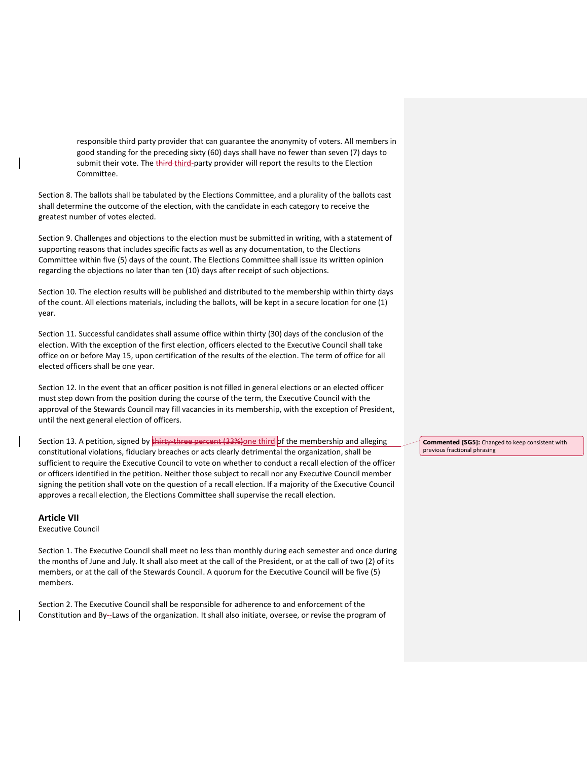responsible third party provider that can guarantee the anonymity of voters. All members in good standing for the preceding sixty (60) days shall have no fewer than seven (7) days to submit their vote. The third-third-party provider will report the results to the Election Committee.

Section 8. The ballots shall be tabulated by the Elections Committee, and a plurality of the ballots cast shall determine the outcome of the election, with the candidate in each category to receive the greatest number of votes elected.

Section 9. Challenges and objections to the election must be submitted in writing, with a statement of supporting reasons that includes specific facts as well as any documentation, to the Elections Committee within five (5) days of the count. The Elections Committee shall issue its written opinion regarding the objections no later than ten (10) days after receipt of such objections.

Section 10. The election results will be published and distributed to the membership within thirty days of the count. All elections materials, including the ballots, will be kept in a secure location for one (1) year.

Section 11. Successful candidates shall assume office within thirty (30) days of the conclusion of the election. With the exception of the first election, officers elected to the Executive Council shall take office on or before May 15, upon certification of the results of the election. The term of office for all elected officers shall be one year.

Section 12. In the event that an officer position is not filled in general elections or an elected officer must step down from the position during the course of the term, the Executive Council with the approval of the Stewards Council may fill vacancies in its membership, with the exception of President, until the next general election of officers.

Section 13. A petition, signed by thirty three percent (33%) one third of the membership and alleging constitutional violations, fiduciary breaches or acts clearly detrimental the organization, shall be sufficient to require the Executive Council to vote on whether to conduct a recall election of the officer or officers identified in the petition. Neither those subject to recall nor any Executive Council member signing the petition shall vote on the question of a recall election. If a majority of the Executive Council approves a recall election, the Elections Committee shall supervise the recall election.

# **Article VII**

Executive Council

Section 1. The Executive Council shall meet no less than monthly during each semester and once during the months of June and July. It shall also meet at the call of the President, or at the call of two (2) of its members, or at the call of the Stewards Council. A quorum for the Executive Council will be five (5) members.

Section 2. The Executive Council shall be responsible for adherence to and enforcement of the Constitution and By--Laws of the organization. It shall also initiate, oversee, or revise the program of **Commented [SG5]:** Changed to keep consistent with previous fractional phrasing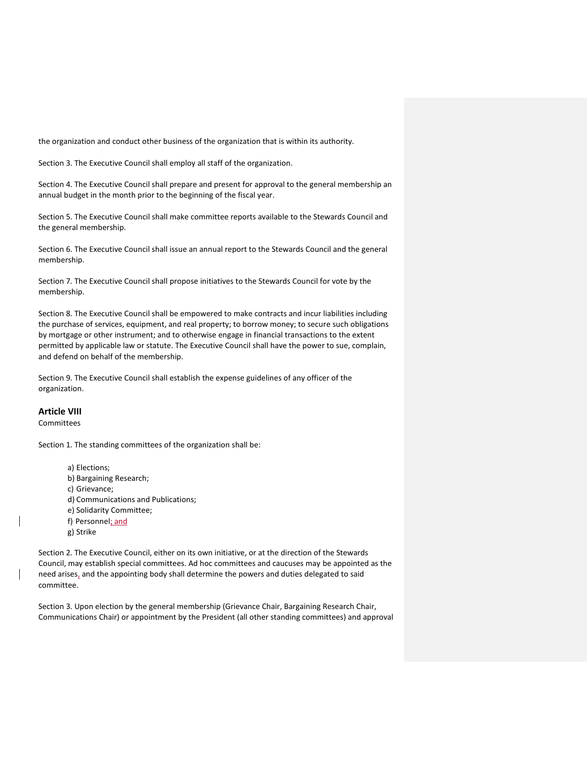the organization and conduct other business of the organization that is within its authority.

Section 3. The Executive Council shall employ all staff of the organization.

Section 4. The Executive Council shall prepare and present for approval to the general membership an annual budget in the month prior to the beginning of the fiscal year.

Section 5. The Executive Council shall make committee reports available to the Stewards Council and the general membership.

Section 6. The Executive Council shall issue an annual report to the Stewards Council and the general membership.

Section 7. The Executive Council shall propose initiatives to the Stewards Council for vote by the membership.

Section 8. The Executive Council shall be empowered to make contracts and incur liabilities including the purchase of services, equipment, and real property; to borrow money; to secure such obligations by mortgage or other instrument; and to otherwise engage in financial transactions to the extent permitted by applicable law or statute. The Executive Council shall have the power to sue, complain, and defend on behalf of the membership.

Section 9. The Executive Council shall establish the expense guidelines of any officer of the organization.

# **Article VIII**

Committees

Section 1. The standing committees of the organization shall be:

- a) Elections;
- b) Bargaining Research;
- c) Grievance;
- d) Communications and Publications;
- e) Solidarity Committee;
- f) Personnel; and
- g) Strike

Section 2. The Executive Council, either on its own initiative, or at the direction of the Stewards Council, may establish special committees. Ad hoc committees and caucuses may be appointed as the need arises, and the appointing body shall determine the powers and duties delegated to said committee.

Section 3. Upon election by the general membership (Grievance Chair, Bargaining Research Chair, Communications Chair) or appointment by the President (all other standing committees) and approval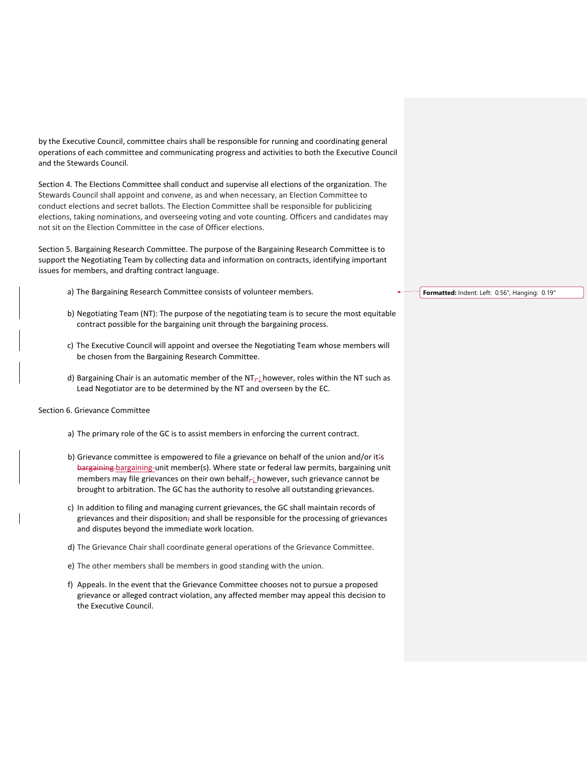by the Executive Council, committee chairs shall be responsible for running and coordinating general operations of each committee and communicating progress and activities to both the Executive Council and the Stewards Council.

Section 4. The Elections Committee shall conduct and supervise all elections of the organization. The Stewards Council shall appoint and convene, as and when necessary, an Election Committee to conduct elections and secret ballots. The Election Committee shall be responsible for publicizing elections, taking nominations, and overseeing voting and vote counting. Officers and candidates may not sit on the Election Committee in the case of Officer elections.

Section 5. Bargaining Research Committee. The purpose of the Bargaining Research Committee is to support the Negotiating Team by collecting data and information on contracts, identifying important issues for members, and drafting contract language.

- a) The Bargaining Research Committee consists of volunteer members.
- b) Negotiating Team (NT): The purpose of the negotiating team is to secure the most equitable contract possible for the bargaining unit through the bargaining process.
- c) The Executive Council will appoint and oversee the Negotiating Team whose members will be chosen from the Bargaining Research Committee.
- d) Bargaining Chair is an automatic member of the  $NT<sub>r<sub>i</sub></sub>$  however, roles within the NT such as Lead Negotiator are to be determined by the NT and overseen by the EC.

# Section 6. Grievance Committee

- a) The primary role of the GC is to assist members in enforcing the current contract.
- b) Grievance committee is empowered to file a grievance on behalf of the union and/or it's bargaining bargaining-unit member(s). Where state or federal law permits, bargaining unit members may file grievances on their own behalf<sub> $\tau$ </sub>; however, such grievance cannot be brought to arbitration. The GC has the authority to resolve all outstanding grievances.
- c) In addition to filing and managing current grievances, the GC shall maintain records of grievances and their disposition; and shall be responsible for the processing of grievances and disputes beyond the immediate work location.
- d) The Grievance Chair shall coordinate general operations of the Grievance Committee.
- e) The other members shall be members in good standing with the union.
- f) Appeals. In the event that the Grievance Committee chooses not to pursue a proposed grievance or alleged contract violation, any affected member may appeal this decision to the Executive Council.

#### **Formatted:** Indent: Left: 0.56", Hanging: 0.19"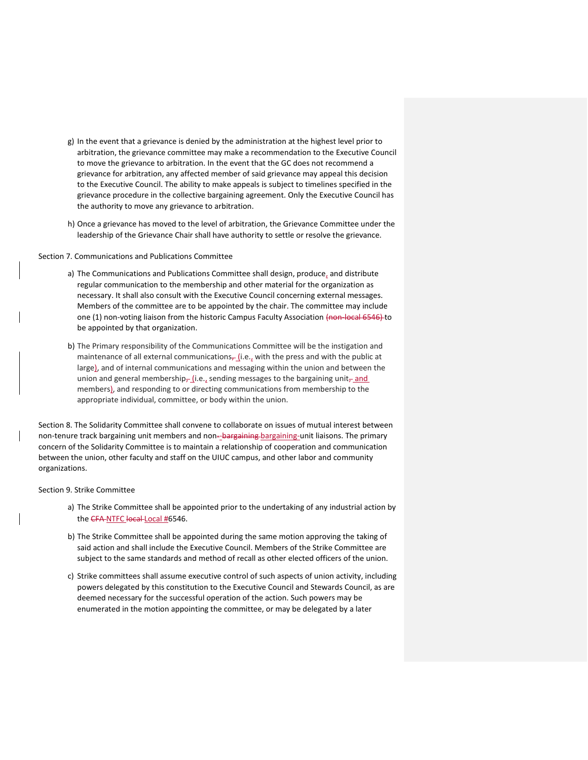- g) In the event that a grievance is denied by the administration at the highest level prior to arbitration, the grievance committee may make a recommendation to the Executive Council to move the grievance to arbitration. In the event that the GC does not recommend a grievance for arbitration, any affected member of said grievance may appeal this decision to the Executive Council. The ability to make appeals is subject to timelines specified in the grievance procedure in the collective bargaining agreement. Only the Executive Council has the authority to move any grievance to arbitration.
- h) Once a grievance has moved to the level of arbitration, the Grievance Committee under the leadership of the Grievance Chair shall have authority to settle or resolve the grievance.

Section 7. Communications and Publications Committee

- a) The Communications and Publications Committee shall design, produce, and distribute regular communication to the membership and other material for the organization as necessary. It shall also consult with the Executive Council concerning external messages. Members of the committee are to be appointed by the chair. The committee may include one (1) non-voting liaison from the historic Campus Faculty Association (non-local 6546) to be appointed by that organization.
- b) The Primary responsibility of the Communications Committee will be the instigation and maintenance of all external communications $\frac{1}{r}$  (i.e., with the press and with the public at large), and of internal communications and messaging within the union and between the union and general membership $_{\tau}$ (i.e., sending messages to the bargaining unit $_{\tau}$  and members), and responding to or directing communications from membership to the appropriate individual, committee, or body within the union.

Section 8. The Solidarity Committee shall convene to collaborate on issues of mutual interest between non-tenure track bargaining unit members and non--bargaining-bargaining-unit liaisons. The primary concern of the Solidarity Committee is to maintain a relationship of cooperation and communication between the union, other faculty and staff on the UIUC campus, and other labor and community organizations.

# Section 9. Strike Committee

- a) The Strike Committee shall be appointed prior to the undertaking of any industrial action by the CFA-NTFC local-Local #6546.
- b) The Strike Committee shall be appointed during the same motion approving the taking of said action and shall include the Executive Council. Members of the Strike Committee are subject to the same standards and method of recall as other elected officers of the union.
- c) Strike committees shall assume executive control of such aspects of union activity, including powers delegated by this constitution to the Executive Council and Stewards Council, as are deemed necessary for the successful operation of the action. Such powers may be enumerated in the motion appointing the committee, or may be delegated by a later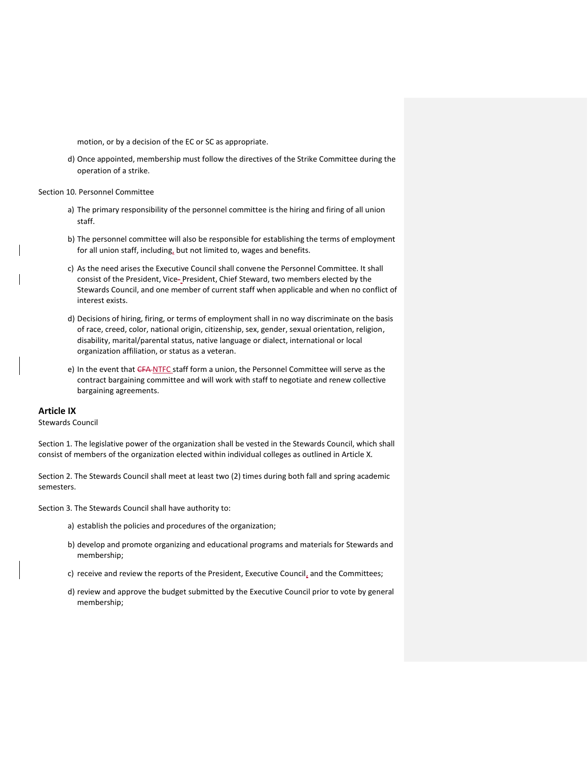motion, or by a decision of the EC or SC as appropriate.

d) Once appointed, membership must follow the directives of the Strike Committee during the operation of a strike.

Section 10. Personnel Committee

- a) The primary responsibility of the personnel committee is the hiring and firing of all union staff.
- b) The personnel committee will also be responsible for establishing the terms of employment for all union staff, including, but not limited to, wages and benefits.
- c) As the need arises the Executive Council shall convene the Personnel Committee. It shall consist of the President, Vice- President, Chief Steward, two members elected by the Stewards Council, and one member of current staff when applicable and when no conflict of interest exists.
- d) Decisions of hiring, firing, or terms of employment shall in no way discriminate on the basis of race, creed, color, national origin, citizenship, sex, gender, sexual orientation, religion, disability, marital/parental status, native language or dialect, international or local organization affiliation, or status as a veteran.
- e) In the event that CFA NTFC staff form a union, the Personnel Committee will serve as the contract bargaining committee and will work with staff to negotiate and renew collective bargaining agreements.

### **Article IX**

Stewards Council

Section 1. The legislative power of the organization shall be vested in the Stewards Council, which shall consist of members of the organization elected within individual colleges as outlined in Article X.

Section 2. The Stewards Council shall meet at least two (2) times during both fall and spring academic semesters.

Section 3. The Stewards Council shall have authority to:

- a) establish the policies and procedures of the organization;
- b) develop and promote organizing and educational programs and materials for Stewards and membership;
- c) receive and review the reports of the President, Executive Council, and the Committees;
- d) review and approve the budget submitted by the Executive Council prior to vote by general membership;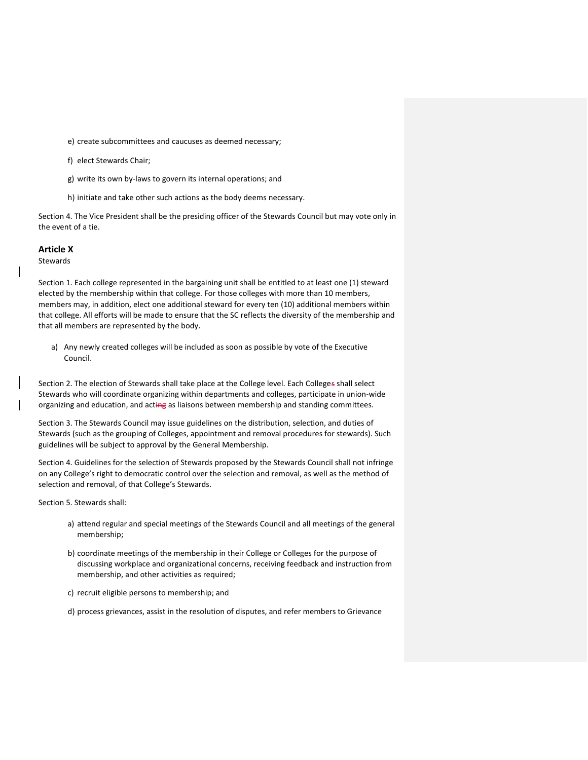e) create subcommittees and caucuses as deemed necessary;

f) elect Stewards Chair;

g) write its own by-laws to govern its internal operations; and

h) initiate and take other such actions as the body deems necessary.

Section 4. The Vice President shall be the presiding officer of the Stewards Council but may vote only in the event of a tie.

**Article X**

**Stewards** 

Section 1. Each college represented in the bargaining unit shall be entitled to at least one (1) steward elected by the membership within that college. For those colleges with more than 10 members, members may, in addition, elect one additional steward for every ten (10) additional members within that college. All efforts will be made to ensure that the SC reflects the diversity of the membership and that all members are represented by the body.

a) Any newly created colleges will be included as soon as possible by vote of the Executive Council.

Section 2. The election of Stewards shall take place at the College level. Each Colleges shall select Stewards who will coordinate organizing within departments and colleges, participate in union-wide organizing and education, and acting as liaisons between membership and standing committees.

Section 3. The Stewards Council may issue guidelines on the distribution, selection, and duties of Stewards (such as the grouping of Colleges, appointment and removal procedures for stewards). Such guidelines will be subject to approval by the General Membership.

Section 4. Guidelines for the selection of Stewards proposed by the Stewards Council shall not infringe on any College's right to democratic control over the selection and removal, as well as the method of selection and removal, of that College's Stewards.

Section 5. Stewards shall:

- a) attend regular and special meetings of the Stewards Council and all meetings of the general membership;
- b) coordinate meetings of the membership in their College or Colleges for the purpose of discussing workplace and organizational concerns, receiving feedback and instruction from membership, and other activities as required;
- c) recruit eligible persons to membership; and

d) process grievances, assist in the resolution of disputes, and refer members to Grievance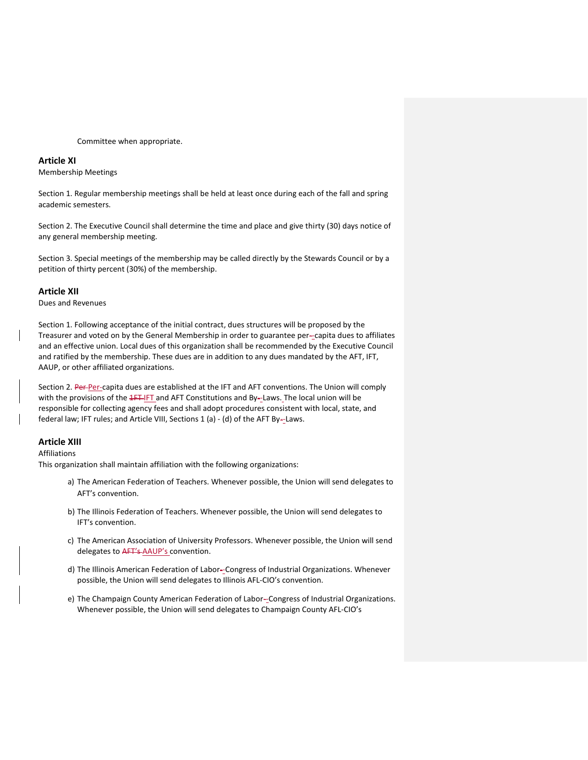Committee when appropriate.

# **Article XI**

Membership Meetings

Section 1. Regular membership meetings shall be held at least once during each of the fall and spring academic semesters.

Section 2. The Executive Council shall determine the time and place and give thirty (30) days notice of any general membership meeting.

Section 3. Special meetings of the membership may be called directly by the Stewards Council or by a petition of thirty percent (30%) of the membership.

# **Article XII**

Dues and Revenues

Section 1. Following acceptance of the initial contract, dues structures will be proposed by the Treasurer and voted on by the General Membership in order to guarantee per--capita dues to affiliates and an effective union. Local dues of this organization shall be recommended by the Executive Council and ratified by the membership. These dues are in addition to any dues mandated by the AFT, IFT, AAUP, or other affiliated organizations.

Section 2. Per-Per-capita dues are established at the IFT and AFT conventions. The Union will comply with the provisions of the 4FT-IFT and AFT Constitutions and By--Laws. The local union will be responsible for collecting agency fees and shall adopt procedures consistent with local, state, and federal law; IFT rules; and Article VIII, Sections 1 (a) - (d) of the AFT By--Laws.

# **Article XIII**

#### Affiliations

This organization shall maintain affiliation with the following organizations:

- a) The American Federation of Teachers. Whenever possible, the Union will send delegates to AFT's convention.
- b) The Illinois Federation of Teachers. Whenever possible, the Union will send delegates to IFT's convention.
- c) The American Association of University Professors. Whenever possible, the Union will send delegates to AFT's AAUP's convention.
- d) The Illinois American Federation of Labor--Congress of Industrial Organizations. Whenever possible, the Union will send delegates to Illinois AFL-CIO's convention.
- e) The Champaign County American Federation of Labor--Congress of Industrial Organizations. Whenever possible, the Union will send delegates to Champaign County AFL-CIO's